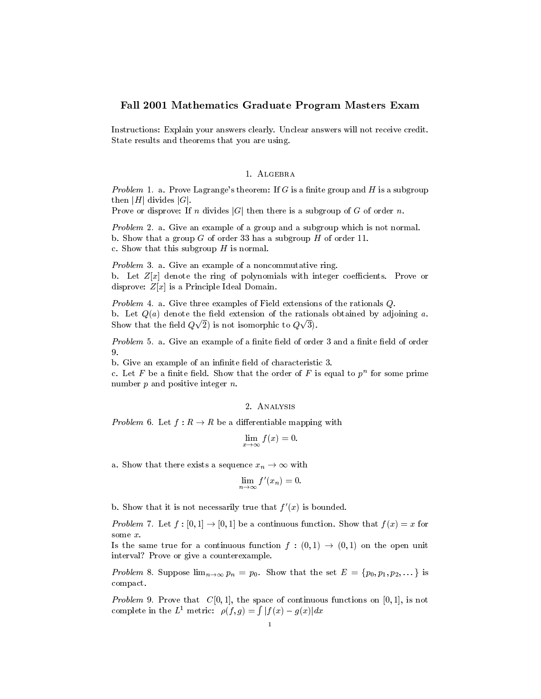## Fall <sup>2001</sup> Mathematics Graduate Program Masters Exam

Instructions: Explain your answers clearly. Unclear answers will not receive credit. State results and theorems that you areusing.

## 1. ALGEBRA

Problem 1. a. Prove Lagrange's theorem: If G is a finite group and H is a subgroup then  $|H|$  divides  $|G|$ .

Prove or disprove: If n divides  $|G|$  then there is a subgroup of G of order n.

Problem 2. a. Give an example of a group and a subgroup which is not normal. b. Show that <sup>a</sup> group <sup>G</sup> of order <sup>33</sup> has <sup>a</sup> subgroup <sup>H</sup> of order 11. c. Show that the subset of the subgroup H is not interesting the subset of the subset of the subset of the subset of the subset of the subset of the subset of the subset of the subset of the subset of the subset of the sub

Problem 3. a. Give an example of <sup>a</sup> noncommutative ring. b. Let Z[x] denote the ring of polynomials with integer coecients. Prove or disproves: Z[x] is a Principle Ideal Domain.

Problem 4. a. Give three examples of Field extensions of the rationals Q. b. Let Q(a) denote the eld extension of the rationals obtained by adjoining a. Show that the field  $Q\sqrt{2}$ ) is not isomorphic to  $Q\sqrt{3}$ .

*Problem* 5. a. Give an example of a finite field of order 3 and a finite field of order 9.

b. Give an example of an innite eld of characteristic 3.

c. Let  $F$  be a nuite neig. Show that the order of  $F$  is equal to  $p^{\alpha}$  for some prime number of positive integration in the positive integer next and positive integer next and positive integer next

## 2. Analysis

Problem 6. Let  $f: R \to R$  be a differentiable mapping with

$$
\lim_{x \to \infty} f(x) = 0.
$$

a. Show that there exists a sequence  $x_n \to \infty$  with

$$
\lim_{n \to \infty} f'(x_n) = 0.
$$

b. Show that it is not necessarily true that  $f(x)$  is bounded.

Problem 7. Let  $f : [0, 1] \to [0, 1]$  be a continuous function. Show that  $f(x) = x$  for

Is the same true for a continuous function  $f : (0,1) \rightarrow (0,1)$  on the open unit interval? Prove or give <sup>a</sup> counterexample.

Problem 8. Suppose  $\lim_{n\to\infty} p_n = p_0$ . Show that the set  $E = \{p_0, p_1, p_2, ...\}$  is compact.

Problem 9. Prove that  $C[0,1]$ , the space of continuous functions on  $[0,1]$ , is not complete in the L<sup>1</sup> metric:  $\rho(f,g) = \int |f(x) - g(x)| dx$